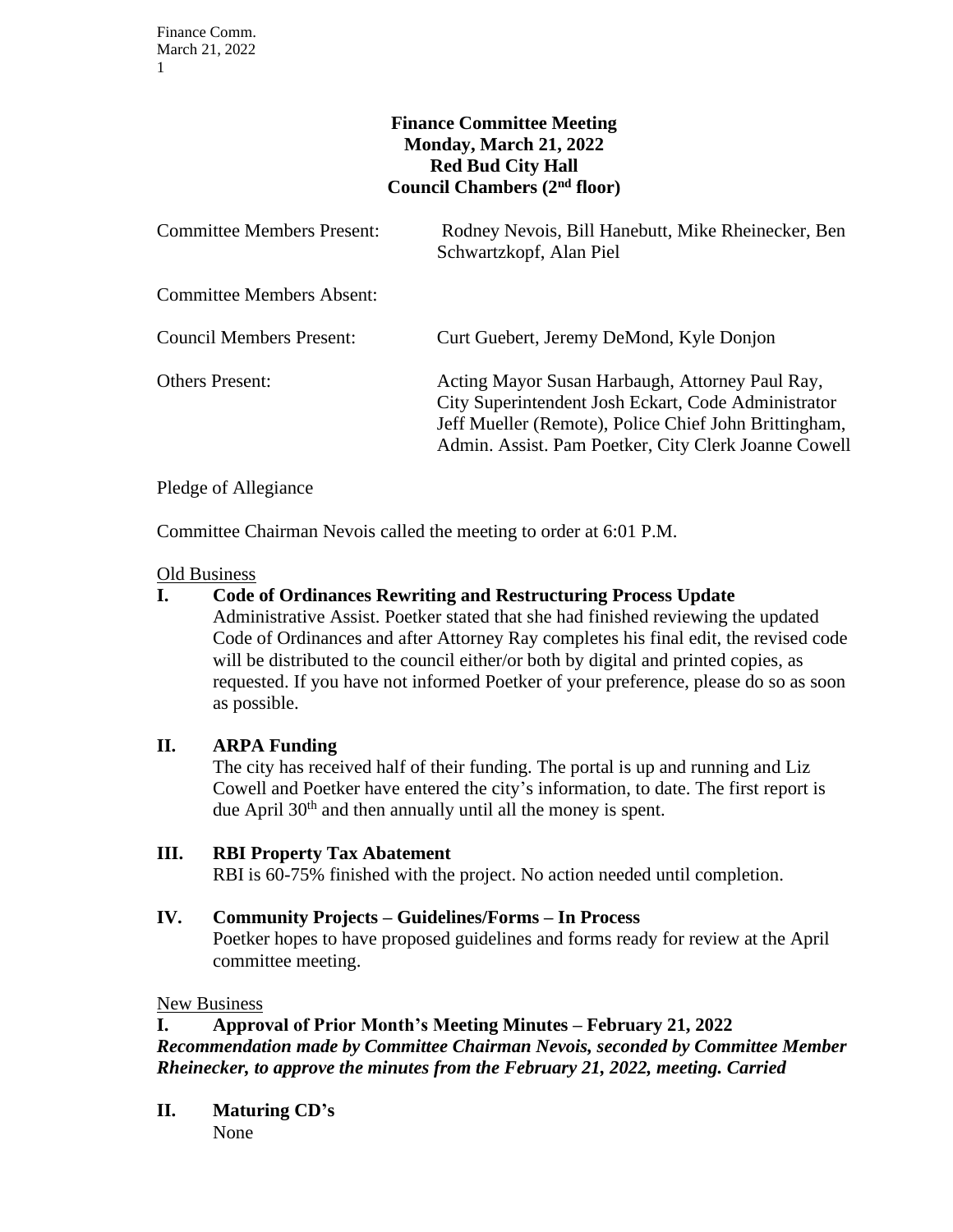# **Finance Committee Meeting Monday, March 21, 2022 Red Bud City Hall Council Chambers (2nd floor)**

| <b>Committee Members Present:</b> | Rodney Nevois, Bill Hanebutt, Mike Rheinecker, Ben<br>Schwartzkopf, Alan Piel                                                                                                                                           |
|-----------------------------------|-------------------------------------------------------------------------------------------------------------------------------------------------------------------------------------------------------------------------|
| <b>Committee Members Absent:</b>  |                                                                                                                                                                                                                         |
| <b>Council Members Present:</b>   | Curt Guebert, Jeremy DeMond, Kyle Donjon                                                                                                                                                                                |
| <b>Others Present:</b>            | Acting Mayor Susan Harbaugh, Attorney Paul Ray,<br>City Superintendent Josh Eckart, Code Administrator<br>Jeff Mueller (Remote), Police Chief John Brittingham,<br>Admin. Assist. Pam Poetker, City Clerk Joanne Cowell |

Pledge of Allegiance

Committee Chairman Nevois called the meeting to order at 6:01 P.M.

# Old Business

# **I. Code of Ordinances Rewriting and Restructuring Process Update**

Administrative Assist. Poetker stated that she had finished reviewing the updated Code of Ordinances and after Attorney Ray completes his final edit, the revised code will be distributed to the council either/or both by digital and printed copies, as requested. If you have not informed Poetker of your preference, please do so as soon as possible.

## **II. ARPA Funding**

The city has received half of their funding. The portal is up and running and Liz Cowell and Poetker have entered the city's information, to date. The first report is due April  $30<sup>th</sup>$  and then annually until all the money is spent.

## **III. RBI Property Tax Abatement**

RBI is 60-75% finished with the project. No action needed until completion.

# **IV. Community Projects – Guidelines/Forms – In Process**

Poetker hopes to have proposed guidelines and forms ready for review at the April committee meeting.

## New Business

# **I. Approval of Prior Month's Meeting Minutes – February 21, 2022** *Recommendation made by Committee Chairman Nevois, seconded by Committee Member Rheinecker, to approve the minutes from the February 21, 2022, meeting. Carried*

**II. Maturing CD's** None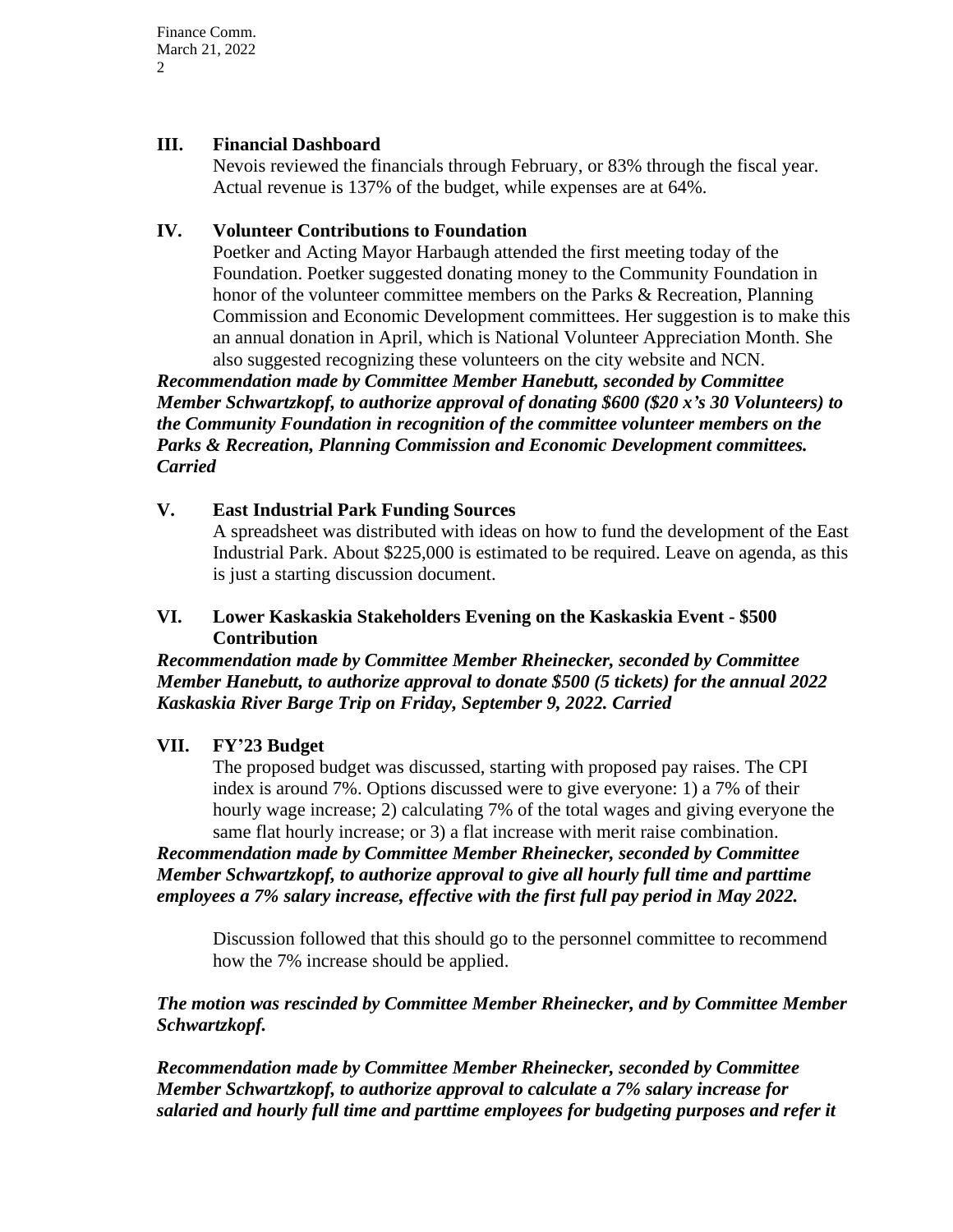Finance Comm. March 21, 2022  $\mathcal{D}$ 

#### **III. Financial Dashboard**

Nevois reviewed the financials through February, or 83% through the fiscal year. Actual revenue is 137% of the budget, while expenses are at 64%.

## **IV. Volunteer Contributions to Foundation**

Poetker and Acting Mayor Harbaugh attended the first meeting today of the Foundation. Poetker suggested donating money to the Community Foundation in honor of the volunteer committee members on the Parks & Recreation, Planning Commission and Economic Development committees. Her suggestion is to make this an annual donation in April, which is National Volunteer Appreciation Month. She also suggested recognizing these volunteers on the city website and NCN.

*Recommendation made by Committee Member Hanebutt, seconded by Committee Member Schwartzkopf, to authorize approval of donating \$600 (\$20 x's 30 Volunteers) to the Community Foundation in recognition of the committee volunteer members on the Parks & Recreation, Planning Commission and Economic Development committees. Carried*

# **V. East Industrial Park Funding Sources**

A spreadsheet was distributed with ideas on how to fund the development of the East Industrial Park. About \$225,000 is estimated to be required. Leave on agenda, as this is just a starting discussion document.

## **VI. Lower Kaskaskia Stakeholders Evening on the Kaskaskia Event - \$500 Contribution**

*Recommendation made by Committee Member Rheinecker, seconded by Committee Member Hanebutt, to authorize approval to donate \$500 (5 tickets) for the annual 2022 Kaskaskia River Barge Trip on Friday, September 9, 2022. Carried*

## **VII. FY'23 Budget**

The proposed budget was discussed, starting with proposed pay raises. The CPI index is around 7%. Options discussed were to give everyone: 1) a 7% of their hourly wage increase; 2) calculating 7% of the total wages and giving everyone the same flat hourly increase; or 3) a flat increase with merit raise combination.

*Recommendation made by Committee Member Rheinecker, seconded by Committee Member Schwartzkopf, to authorize approval to give all hourly full time and parttime employees a 7% salary increase, effective with the first full pay period in May 2022.*

Discussion followed that this should go to the personnel committee to recommend how the 7% increase should be applied.

*The motion was rescinded by Committee Member Rheinecker, and by Committee Member Schwartzkopf.*

*Recommendation made by Committee Member Rheinecker, seconded by Committee Member Schwartzkopf, to authorize approval to calculate a 7% salary increase for salaried and hourly full time and parttime employees for budgeting purposes and refer it*